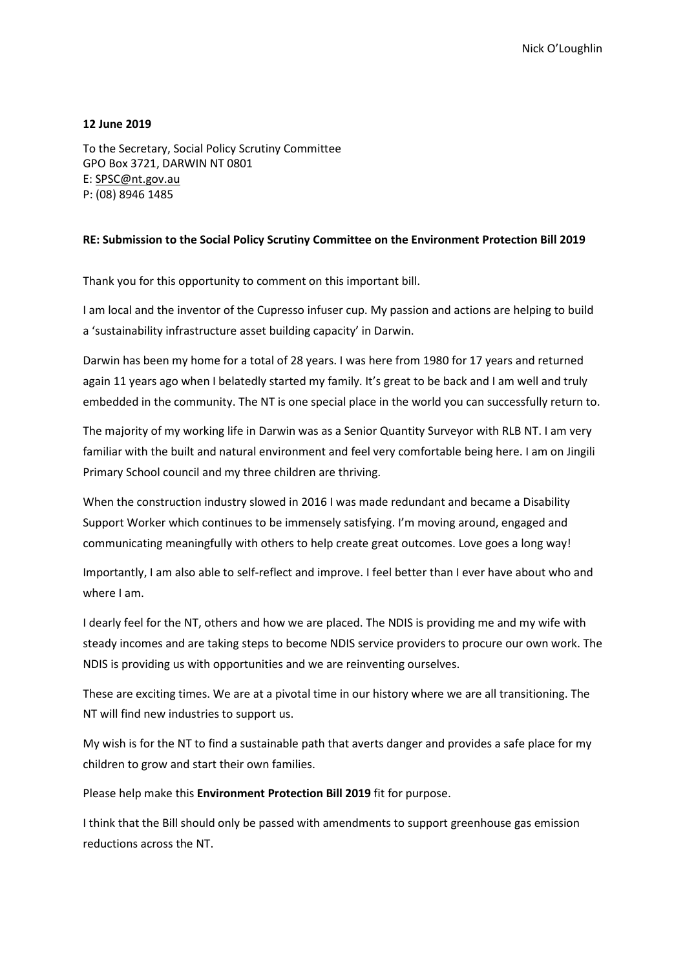## **12 June 2019**

To the Secretary, Social Policy Scrutiny Committee GPO Box 3721, DARWIN NT 0801 E: SPSC@nt.gov.au P: (08) 8946 1485

## **RE: Submission to the Social Policy Scrutiny Committee on the Environment Protection Bill 2019**

Thank you for this opportunity to comment on this important bill.

I am local and the inventor of the Cupresso infuser cup. My passion and actions are helping to build a 'sustainability infrastructure asset building capacity' in Darwin.

Darwin has been my home for a total of 28 years. I was here from 1980 for 17 years and returned again 11 years ago when I belatedly started my family. It's great to be back and I am well and truly embedded in the community. The NT is one special place in the world you can successfully return to.

The majority of my working life in Darwin was as a Senior Quantity Surveyor with RLB NT. I am very familiar with the built and natural environment and feel very comfortable being here. I am on Jingili Primary School council and my three children are thriving.

When the construction industry slowed in 2016 I was made redundant and became a Disability Support Worker which continues to be immensely satisfying. I'm moving around, engaged and communicating meaningfully with others to help create great outcomes. Love goes a long way!

Importantly, I am also able to self-reflect and improve. I feel better than I ever have about who and where I am.

I dearly feel for the NT, others and how we are placed. The NDIS is providing me and my wife with steady incomes and are taking steps to become NDIS service providers to procure our own work. The NDIS is providing us with opportunities and we are reinventing ourselves.

These are exciting times. We are at a pivotal time in our history where we are all transitioning. The NT will find new industries to support us.

My wish is for the NT to find a sustainable path that averts danger and provides a safe place for my children to grow and start their own families.

Please help make this **Environment Protection Bill 2019** fit for purpose.

I think that the Bill should only be passed with amendments to support greenhouse gas emission reductions across the NT.